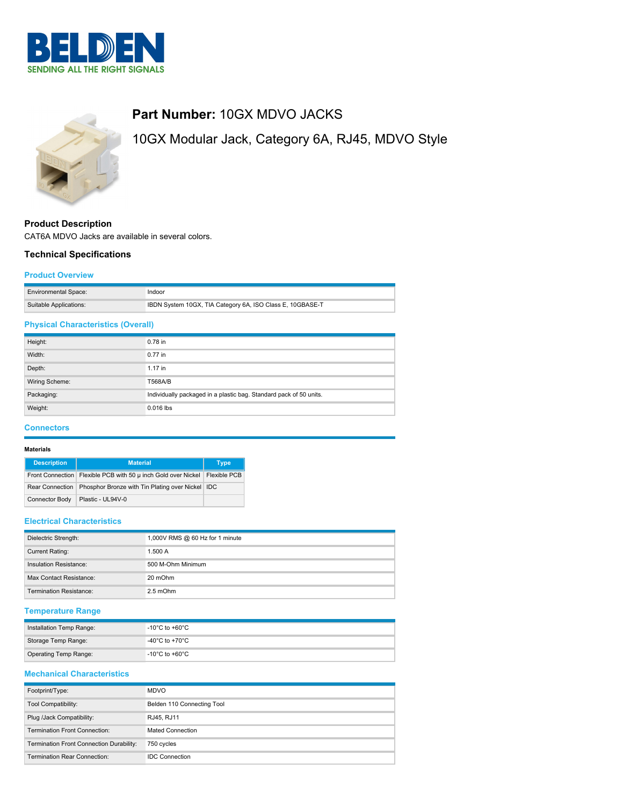



# **Product Description**

CAT6A MDVO Jacks are available in several colors.

### **Technical Specifications**

### **Product Overview**

| <b>Environmental Space:</b> | Indoor                                                    |
|-----------------------------|-----------------------------------------------------------|
| Suitable Applications:      | IBDN System 10GX, TIA Category 6A, ISO Class E, 10GBASE-T |

## **Physical Characteristics (Overall)**

| Height:        | 0.78 in                                                            |
|----------------|--------------------------------------------------------------------|
| Width:         | $0.77$ in                                                          |
| Depth:         | $1.17$ in                                                          |
| Wiring Scheme: | T568A/B                                                            |
| Packaging:     | Individually packaged in a plastic bag. Standard pack of 50 units. |
| Weight:        | 0.016 lbs                                                          |
|                |                                                                    |

### **Connectors**

### **Materials**

| <b>Description</b>     | <b>Material</b>                                  | <b>Type</b>  |
|------------------------|--------------------------------------------------|--------------|
| Front Connection       | Flexible PCB with 50 µ inch Gold over Nickel     | Flexible PCB |
| <b>Rear Connection</b> | Phosphor Bronze with Tin Plating over Nickel IDC |              |
| Connector Body         | Plastic - UL94V-0                                |              |

### **Electrical Characteristics**

| Dielectric Strength:    | 1,000V RMS @ 60 Hz for 1 minute |
|-------------------------|---------------------------------|
| Current Rating:         | 1.500 A                         |
| Insulation Resistance:  | 500 M-Ohm Minimum               |
| Max Contact Resistance: | 20 mOhm                         |
| Termination Resistance: | $2.5 \text{ mOhm}$              |

## **Temperature Range**

| Installation Temp Range:     | -10°C to +60°C.                  |
|------------------------------|----------------------------------|
| Storage Temp Range:          | -40°C to +70°C.                  |
| <b>Operating Temp Range:</b> | $^\circ$ -10°C to +60°C $^\circ$ |

### **Mechanical Characteristics**

| Footprint/Type:                          | <b>MDVO</b>                |
|------------------------------------------|----------------------------|
| <b>Tool Compatibility:</b>               | Belden 110 Connecting Tool |
| Plug /Jack Compatibility:                | RJ45, RJ11                 |
| Termination Front Connection:            | Mated Connection           |
| Termination Front Connection Durability: | 750 cycles                 |
| Termination Rear Connection:             | <b>IDC Connection</b>      |